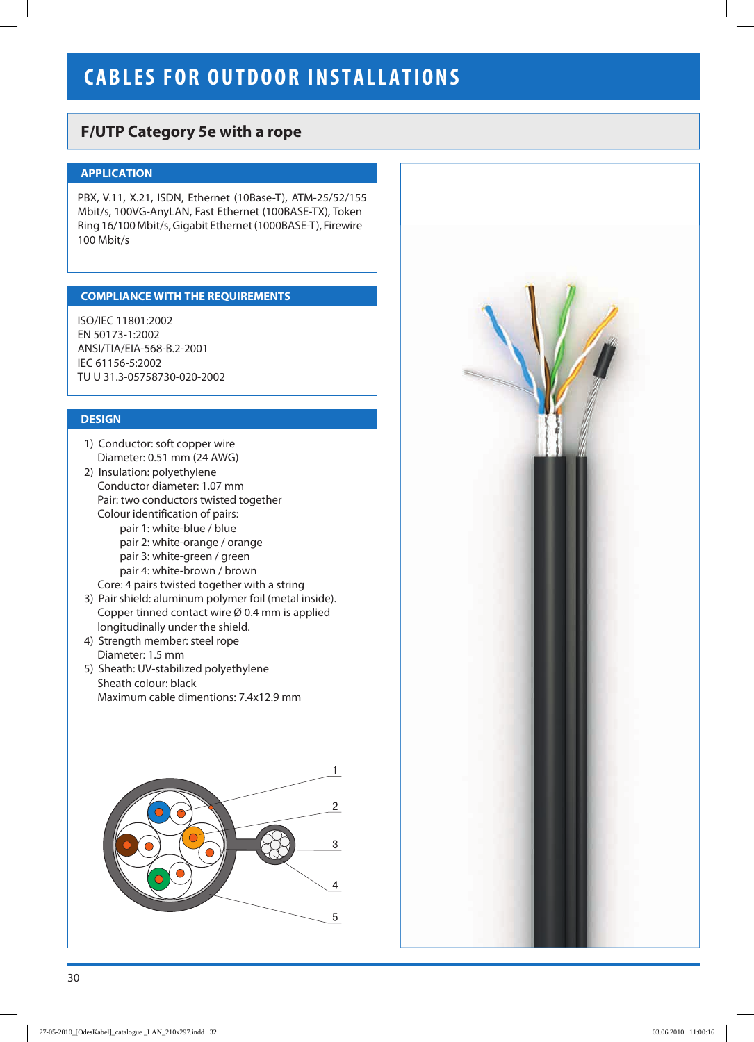# **CABLES FOR OUTDOOR INSTALLATIONS**

## **F/UTP Category 5е with a rope**

## **APPLICATION**

PBX, V.11, X.21, ISDN, Ethernet (10Base-T), ATM-25/52/155 Mbit/s, 100VG-AnyLAN, Fast Ethernet (100BASE-TX), Token Ring 16/100 Mbit/s, Gigabit Ethernet (1000BASE-T), Firewire 100 Mbit/s

### **СOMPLIANCE WITH THE REQUIREMENTS**

ISO/IEC 11801:2002 EN 50173-1:2002 ANSI/TIA/EIA-568-B.2-2001 IEC 61156-5:2002 TU U 31.3-05758730-020-2002

### **DESIGN**

- 1) Conductor: soft copper wire Diameter: 0.51 mm (24 AWG)
- 2) Insulation: polyethylene Conductor diameter: 1.07 mm Pair: two conductors twisted together Colour identification of pairs: pair 1: white-blue / blue pair 2: white-orange / orange pair 3: white-green / green pair 4: white-brown / brown Core: 4 pairs twisted together with a string
- 3) Pair shield: aluminum polymer foil (metal inside). Copper tinned contact wire Ø 0.4 mm is applied longitudinally under the shield.
- 4) Strength member: steel rope Diameter: 1.5 mm
- 5) Sheath: UV-stabilized polyethylene Sheath colour: black Мaximum cable dimentions: 7.4x12.9 mm